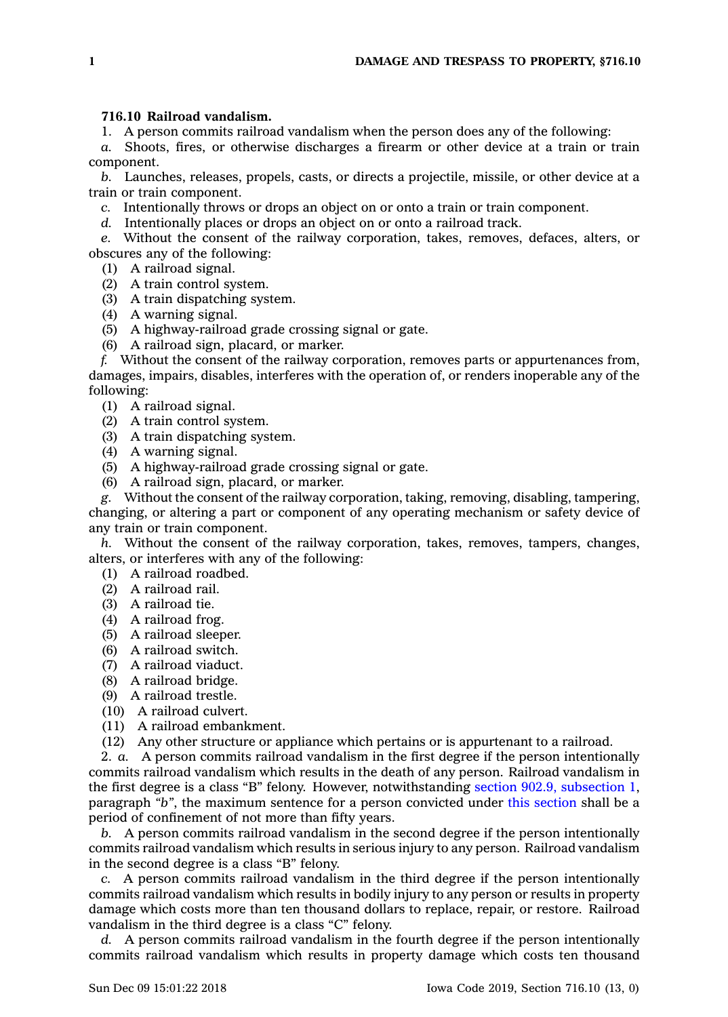## **716.10 Railroad vandalism.**

1. A person commits railroad vandalism when the person does any of the following:

*a.* Shoots, fires, or otherwise discharges <sup>a</sup> firearm or other device at <sup>a</sup> train or train component.

*b.* Launches, releases, propels, casts, or directs <sup>a</sup> projectile, missile, or other device at <sup>a</sup> train or train component.

*c.* Intentionally throws or drops an object on or onto <sup>a</sup> train or train component.

*d.* Intentionally places or drops an object on or onto <sup>a</sup> railroad track.

*e.* Without the consent of the railway corporation, takes, removes, defaces, alters, or obscures any of the following:

(1) A railroad signal.

(2) A train control system.

(3) A train dispatching system.

(4) A warning signal.

(5) A highway-railroad grade crossing signal or gate.

(6) A railroad sign, placard, or marker.

*f.* Without the consent of the railway corporation, removes parts or appurtenances from, damages, impairs, disables, interferes with the operation of, or renders inoperable any of the following:

(1) A railroad signal.

(2) A train control system.

(3) A train dispatching system.

(4) A warning signal.

(5) A highway-railroad grade crossing signal or gate.

(6) A railroad sign, placard, or marker.

*g.* Without the consent of the railway corporation, taking, removing, disabling, tampering, changing, or altering <sup>a</sup> part or component of any operating mechanism or safety device of any train or train component.

*h.* Without the consent of the railway corporation, takes, removes, tampers, changes, alters, or interferes with any of the following:

(1) A railroad roadbed.

(2) A railroad rail.

(3) A railroad tie.

(4) A railroad frog.

(5) A railroad sleeper.

(6) A railroad switch.

(7) A railroad viaduct.

(8) A railroad bridge.

(9) A railroad trestle.

(10) A railroad culvert.

(11) A railroad embankment.

(12) Any other structure or appliance which pertains or is appurtenant to <sup>a</sup> railroad.

2. *a.* A person commits railroad vandalism in the first degree if the person intentionally commits railroad vandalism which results in the death of any person. Railroad vandalism in the first degree is <sup>a</sup> class "B" felony. However, notwithstanding section 902.9, [subsection](https://www.legis.iowa.gov/docs/code/902.9.pdf) 1, paragraph *"b"*, the maximum sentence for <sup>a</sup> person convicted under this [section](https://www.legis.iowa.gov/docs/code/716.10.pdf) shall be <sup>a</sup> period of confinement of not more than fifty years.

*b.* A person commits railroad vandalism in the second degree if the person intentionally commits railroad vandalism which results in serious injury to any person. Railroad vandalism in the second degree is <sup>a</sup> class "B" felony.

*c.* A person commits railroad vandalism in the third degree if the person intentionally commits railroad vandalism which results in bodily injury to any person or results in property damage which costs more than ten thousand dollars to replace, repair, or restore. Railroad vandalism in the third degree is <sup>a</sup> class "C" felony.

*d.* A person commits railroad vandalism in the fourth degree if the person intentionally commits railroad vandalism which results in property damage which costs ten thousand